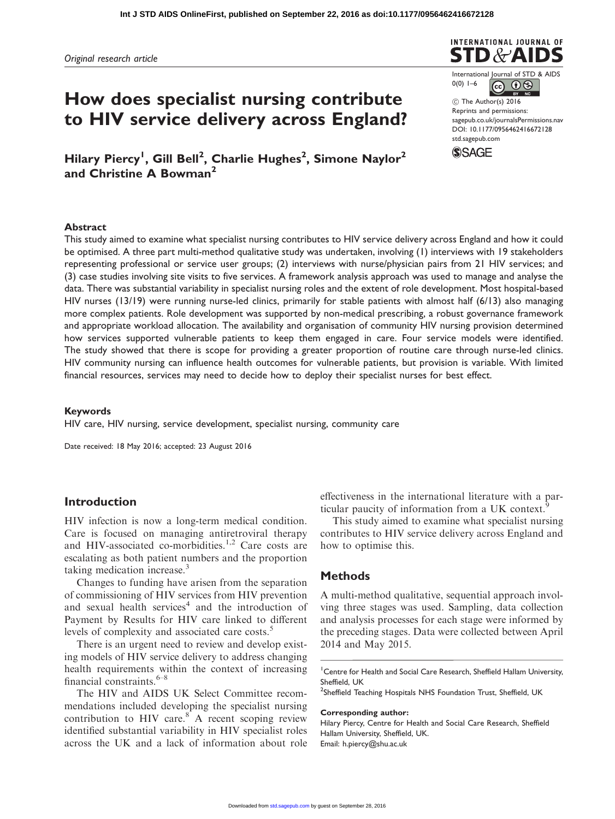# INTERNATIONAL JOURNAL OF **STD&AIDS**



How does specialist nursing contribute to HIV service delivery across England?

(c) The Author(s) 2016 Reprints and permissions: sagepub.co.uk/journalsPermissions.nav DOI: 10.1177/0956462416672128 std.sagepub.com



Hilary Piercy<sup>1</sup>, Gill Bell<sup>2</sup>, Charlie Hughes<sup>2</sup>, Simone Naylor<sup>2</sup> and Christine A Bowman<sup>2</sup>

### Abstract

This study aimed to examine what specialist nursing contributes to HIV service delivery across England and how it could be optimised. A three part multi-method qualitative study was undertaken, involving (1) interviews with 19 stakeholders representing professional or service user groups; (2) interviews with nurse/physician pairs from 21 HIV services; and (3) case studies involving site visits to five services. A framework analysis approach was used to manage and analyse the data. There was substantial variability in specialist nursing roles and the extent of role development. Most hospital-based HIV nurses (13/19) were running nurse-led clinics, primarily for stable patients with almost half (6/13) also managing more complex patients. Role development was supported by non-medical prescribing, a robust governance framework and appropriate workload allocation. The availability and organisation of community HIV nursing provision determined how services supported vulnerable patients to keep them engaged in care. Four service models were identified. The study showed that there is scope for providing a greater proportion of routine care through nurse-led clinics. HIV community nursing can influence health outcomes for vulnerable patients, but provision is variable. With limited financial resources, services may need to decide how to deploy their specialist nurses for best effect.

### Keywords

HIV care, HIV nursing, service development, specialist nursing, community care

Date received: 18 May 2016; accepted: 23 August 2016

## Introduction

HIV infection is now a long-term medical condition. Care is focused on managing antiretroviral therapy and HIV-associated co-morbidities.<sup>1,2</sup> Care costs are escalating as both patient numbers and the proportion taking medication increase. $3$ 

Changes to funding have arisen from the separation of commissioning of HIV services from HIV prevention and sexual health services $4$  and the introduction of Payment by Results for HIV care linked to different levels of complexity and associated care costs.<sup>5</sup>

There is an urgent need to review and develop existing models of HIV service delivery to address changing health requirements within the context of increasing financial constraints. $6-8$ 

The HIV and AIDS UK Select Committee recommendations included developing the specialist nursing contribution to HIV care. $8$  A recent scoping review identified substantial variability in HIV specialist roles across the UK and a lack of information about role

effectiveness in the international literature with a particular paucity of information from a UK context.<sup>9</sup>

This study aimed to examine what specialist nursing contributes to HIV service delivery across England and how to optimise this.

# Methods

A multi-method qualitative, sequential approach involving three stages was used. Sampling, data collection and analysis processes for each stage were informed by the preceding stages. Data were collected between April 2014 and May 2015.

<sup>1</sup> Centre for Health and Social Care Research, Sheffield Hallam University, Sheffield, UK

#### Corresponding author:

Hilary Piercy, Centre for Health and Social Care Research, Sheffield Hallam University, Sheffield, UK. Email: h.piercy@shu.ac.uk

<sup>&</sup>lt;sup>2</sup>Sheffield Teaching Hospitals NHS Foundation Trust, Sheffield, UK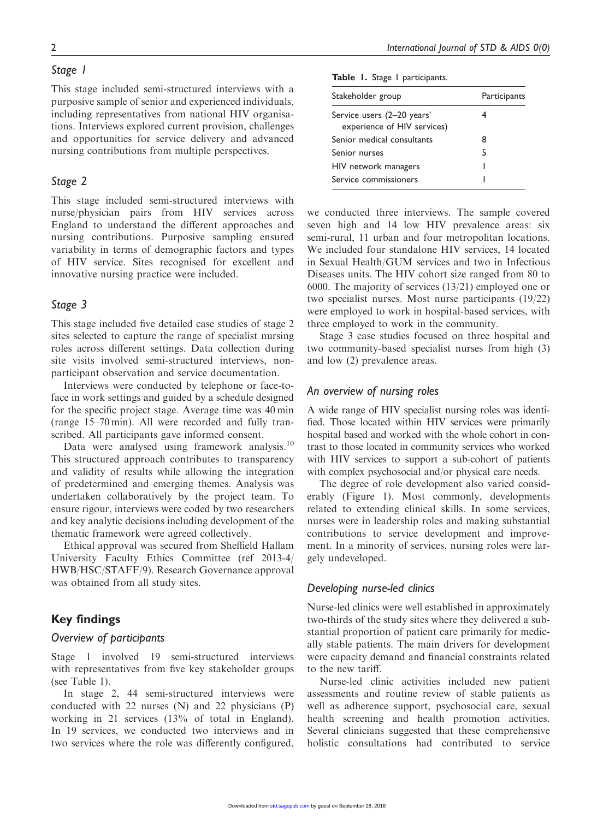### Stage 1

This stage included semi-structured interviews with a purposive sample of senior and experienced individuals, including representatives from national HIV organisations. Interviews explored current provision, challenges and opportunities for service delivery and advanced nursing contributions from multiple perspectives.

## Stage 2

This stage included semi-structured interviews with nurse/physician pairs from HIV services across England to understand the different approaches and nursing contributions. Purposive sampling ensured variability in terms of demographic factors and types of HIV service. Sites recognised for excellent and innovative nursing practice were included.

## Stage 3

This stage included five detailed case studies of stage 2 sites selected to capture the range of specialist nursing roles across different settings. Data collection during site visits involved semi-structured interviews, nonparticipant observation and service documentation.

Interviews were conducted by telephone or face-toface in work settings and guided by a schedule designed for the specific project stage. Average time was 40 min (range 15–70 min). All were recorded and fully transcribed. All participants gave informed consent.

Data were analysed using framework analysis.<sup>10</sup> This structured approach contributes to transparency and validity of results while allowing the integration of predetermined and emerging themes. Analysis was undertaken collaboratively by the project team. To ensure rigour, interviews were coded by two researchers and key analytic decisions including development of the thematic framework were agreed collectively.

Ethical approval was secured from Sheffield Hallam University Faculty Ethics Committee (ref 2013-4/ HWB/HSC/STAFF/9). Research Governance approval was obtained from all study sites.

## Key findings

## Overview of participants

Stage 1 involved 19 semi-structured interviews with representatives from five key stakeholder groups (see Table 1).

In stage 2, 44 semi-structured interviews were conducted with 22 nurses (N) and 22 physicians (P) working in 21 services (13% of total in England). In 19 services, we conducted two interviews and in two services where the role was differently configured,

| Table 1. Stage I participants. |  |  |  |  |  |
|--------------------------------|--|--|--|--|--|
|--------------------------------|--|--|--|--|--|

| Stakeholder group                                         | Participants |  |
|-----------------------------------------------------------|--------------|--|
| Service users (2-20 years'<br>experience of HIV services) |              |  |
| Senior medical consultants                                | 8            |  |
| Senior nurses                                             | 5            |  |
| HIV network managers                                      |              |  |
| Service commissioners                                     |              |  |

we conducted three interviews. The sample covered seven high and 14 low HIV prevalence areas: six semi-rural, 11 urban and four metropolitan locations. We included four standalone HIV services, 14 located in Sexual Health/GUM services and two in Infectious Diseases units. The HIV cohort size ranged from 80 to 6000. The majority of services (13/21) employed one or two specialist nurses. Most nurse participants (19/22) were employed to work in hospital-based services, with three employed to work in the community.

Stage 3 case studies focused on three hospital and two community-based specialist nurses from high (3) and low (2) prevalence areas.

## An overview of nursing roles

A wide range of HIV specialist nursing roles was identified. Those located within HIV services were primarily hospital based and worked with the whole cohort in contrast to those located in community services who worked with HIV services to support a sub-cohort of patients with complex psychosocial and/or physical care needs.

The degree of role development also varied considerably (Figure 1). Most commonly, developments related to extending clinical skills. In some services, nurses were in leadership roles and making substantial contributions to service development and improvement. In a minority of services, nursing roles were largely undeveloped.

### Developing nurse-led clinics

Nurse-led clinics were well established in approximately two-thirds of the study sites where they delivered a substantial proportion of patient care primarily for medically stable patients. The main drivers for development were capacity demand and financial constraints related to the new tariff.

Nurse-led clinic activities included new patient assessments and routine review of stable patients as well as adherence support, psychosocial care, sexual health screening and health promotion activities. Several clinicians suggested that these comprehensive holistic consultations had contributed to service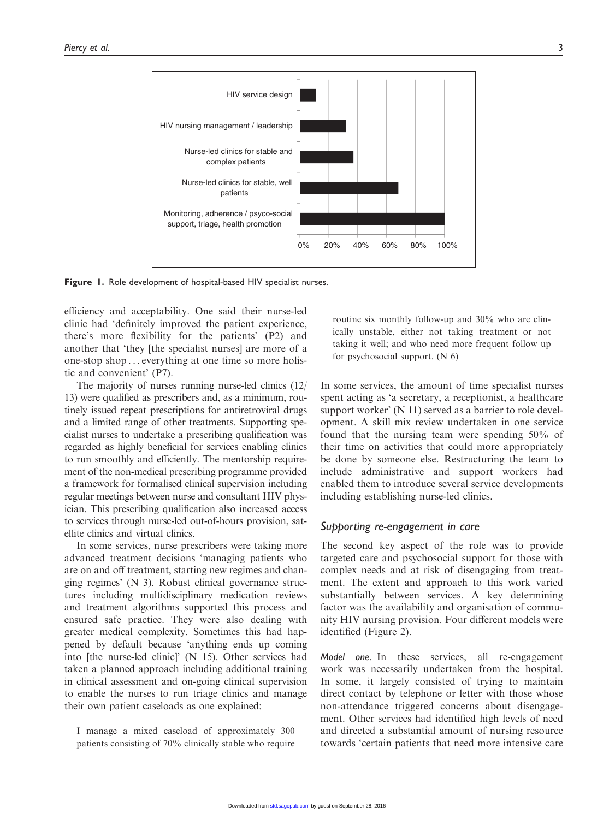

Figure 1. Role development of hospital-based HIV specialist nurses.

efficiency and acceptability. One said their nurse-led clinic had 'definitely improved the patient experience, there's more flexibility for the patients' (P2) and another that 'they [the specialist nurses] are more of a one-stop shop ... everything at one time so more holistic and convenient' (P7).

The majority of nurses running nurse-led clinics (12/ 13) were qualified as prescribers and, as a minimum, routinely issued repeat prescriptions for antiretroviral drugs and a limited range of other treatments. Supporting specialist nurses to undertake a prescribing qualification was regarded as highly beneficial for services enabling clinics to run smoothly and efficiently. The mentorship requirement of the non-medical prescribing programme provided a framework for formalised clinical supervision including regular meetings between nurse and consultant HIV physician. This prescribing qualification also increased access to services through nurse-led out-of-hours provision, satellite clinics and virtual clinics.

In some services, nurse prescribers were taking more advanced treatment decisions 'managing patients who are on and off treatment, starting new regimes and changing regimes' (N 3). Robust clinical governance structures including multidisciplinary medication reviews and treatment algorithms supported this process and ensured safe practice. They were also dealing with greater medical complexity. Sometimes this had happened by default because 'anything ends up coming into [the nurse-led clinic]' (N 15). Other services had taken a planned approach including additional training in clinical assessment and on-going clinical supervision to enable the nurses to run triage clinics and manage their own patient caseloads as one explained:

I manage a mixed caseload of approximately 300 patients consisting of 70% clinically stable who require routine six monthly follow-up and 30% who are clinically unstable, either not taking treatment or not taking it well; and who need more frequent follow up for psychosocial support. (N 6)

In some services, the amount of time specialist nurses spent acting as 'a secretary, a receptionist, a healthcare support worker' (N 11) served as a barrier to role development. A skill mix review undertaken in one service found that the nursing team were spending 50% of their time on activities that could more appropriately be done by someone else. Restructuring the team to include administrative and support workers had enabled them to introduce several service developments including establishing nurse-led clinics.

#### Supporting re-engagement in care

The second key aspect of the role was to provide targeted care and psychosocial support for those with complex needs and at risk of disengaging from treatment. The extent and approach to this work varied substantially between services. A key determining factor was the availability and organisation of community HIV nursing provision. Four different models were identified (Figure 2).

Model one. In these services, all re-engagement work was necessarily undertaken from the hospital. In some, it largely consisted of trying to maintain direct contact by telephone or letter with those whose non-attendance triggered concerns about disengagement. Other services had identified high levels of need and directed a substantial amount of nursing resource towards 'certain patients that need more intensive care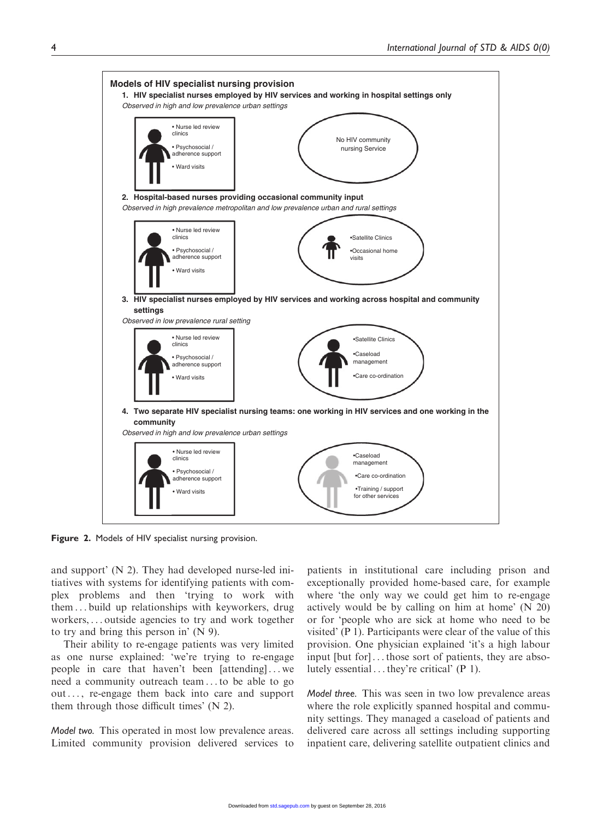

Figure 2. Models of HIV specialist nursing provision.

and support' (N 2). They had developed nurse-led initiatives with systems for identifying patients with complex problems and then 'trying to work with them ... build up relationships with keyworkers, drug workers, ... outside agencies to try and work together to try and bring this person in' (N 9).

Their ability to re-engage patients was very limited as one nurse explained: 'we're trying to re-engage people in care that haven't been [attending] ... we need a community outreach team ... to be able to go out ... , re-engage them back into care and support them through those difficult times' (N 2).

Model two. This operated in most low prevalence areas. Limited community provision delivered services to

patients in institutional care including prison and exceptionally provided home-based care, for example where 'the only way we could get him to re-engage actively would be by calling on him at home' (N 20) or for 'people who are sick at home who need to be visited' (P 1). Participants were clear of the value of this provision. One physician explained 'it's a high labour input [but for] ... those sort of patients, they are absolutely essential ... they're critical' (P 1).

Model three. This was seen in two low prevalence areas where the role explicitly spanned hospital and community settings. They managed a caseload of patients and delivered care across all settings including supporting inpatient care, delivering satellite outpatient clinics and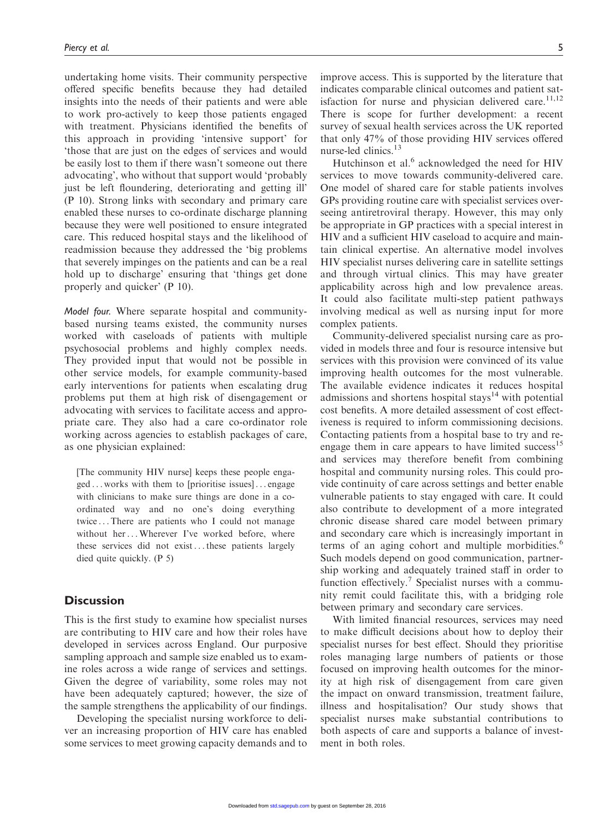undertaking home visits. Their community perspective offered specific benefits because they had detailed insights into the needs of their patients and were able to work pro-actively to keep those patients engaged with treatment. Physicians identified the benefits of this approach in providing 'intensive support' for 'those that are just on the edges of services and would be easily lost to them if there wasn't someone out there advocating', who without that support would 'probably just be left floundering, deteriorating and getting ill' (P 10). Strong links with secondary and primary care enabled these nurses to co-ordinate discharge planning because they were well positioned to ensure integrated care. This reduced hospital stays and the likelihood of readmission because they addressed the 'big problems that severely impinges on the patients and can be a real hold up to discharge' ensuring that 'things get done properly and quicker' (P 10).

Model four. Where separate hospital and communitybased nursing teams existed, the community nurses worked with caseloads of patients with multiple psychosocial problems and highly complex needs. They provided input that would not be possible in other service models, for example community-based early interventions for patients when escalating drug problems put them at high risk of disengagement or advocating with services to facilitate access and appropriate care. They also had a care co-ordinator role working across agencies to establish packages of care, as one physician explained:

[The community HIV nurse] keeps these people engaged ... works with them to [prioritise issues] ... engage with clinicians to make sure things are done in a coordinated way and no one's doing everything twice ...There are patients who I could not manage without her... Wherever I've worked before, where these services did not exist ...these patients largely died quite quickly. (P 5)

# **Discussion**

This is the first study to examine how specialist nurses are contributing to HIV care and how their roles have developed in services across England. Our purposive sampling approach and sample size enabled us to examine roles across a wide range of services and settings. Given the degree of variability, some roles may not have been adequately captured; however, the size of the sample strengthens the applicability of our findings.

Developing the specialist nursing workforce to deliver an increasing proportion of HIV care has enabled some services to meet growing capacity demands and to improve access. This is supported by the literature that indicates comparable clinical outcomes and patient satisfaction for nurse and physician delivered care.<sup>11,12</sup> There is scope for further development: a recent survey of sexual health services across the UK reported that only 47% of those providing HIV services offered nurse-led clinics.<sup>13</sup>

Hutchinson et al.<sup>6</sup> acknowledged the need for HIV services to move towards community-delivered care. One model of shared care for stable patients involves GPs providing routine care with specialist services overseeing antiretroviral therapy. However, this may only be appropriate in GP practices with a special interest in HIV and a sufficient HIV caseload to acquire and maintain clinical expertise. An alternative model involves HIV specialist nurses delivering care in satellite settings and through virtual clinics. This may have greater applicability across high and low prevalence areas. It could also facilitate multi-step patient pathways involving medical as well as nursing input for more complex patients.

Community-delivered specialist nursing care as provided in models three and four is resource intensive but services with this provision were convinced of its value improving health outcomes for the most vulnerable. The available evidence indicates it reduces hospital admissions and shortens hospital stays<sup>14</sup> with potential cost benefits. A more detailed assessment of cost effectiveness is required to inform commissioning decisions. Contacting patients from a hospital base to try and reengage them in care appears to have limited success<sup>15</sup> and services may therefore benefit from combining hospital and community nursing roles. This could provide continuity of care across settings and better enable vulnerable patients to stay engaged with care. It could also contribute to development of a more integrated chronic disease shared care model between primary and secondary care which is increasingly important in terms of an aging cohort and multiple morbidities.<sup>6</sup> Such models depend on good communication, partnership working and adequately trained staff in order to function effectively.<sup>7</sup> Specialist nurses with a community remit could facilitate this, with a bridging role between primary and secondary care services.

With limited financial resources, services may need to make difficult decisions about how to deploy their specialist nurses for best effect. Should they prioritise roles managing large numbers of patients or those focused on improving health outcomes for the minority at high risk of disengagement from care given the impact on onward transmission, treatment failure, illness and hospitalisation? Our study shows that specialist nurses make substantial contributions to both aspects of care and supports a balance of investment in both roles.